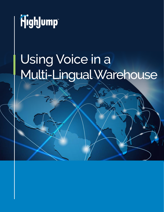

# Using Voice in a Multi-Lingual Warehouse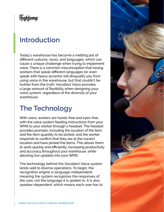# Highlump

## **Introduction**

Today's warehouse has become a melting pot of different cultures, races, and languages, which can cause a unique challenge when trying to implement voice. There is a common misconception that having workers that speak different languages (or even speak with heavy accents) will disqualify you from using voice in the warehouse, but that couldn't be further from the truth. Vocollect Voice provides a large amount of flexibility when designing your voice system, regardless of the diversity of your warehouse.

## **The Technology**

With voice, workers are hands-free and eyes-free, with the voice system feeding instructions from your WMS to your worker through a headset. The headset provides prompts, including the location of the item and the item quantity to be picked, and the worker responds to confirm that they are at the correct location and have picked the items. This allows them to work quickly and efficiently, increasing productivity and accuracy throughout your warehouse, while allowing live updates into your WMS.

The technology behind the Vocollect Voice system lends well to diverse operations. To begin, the recognition engine is language-independent, meaning the system recognizes the responses of the user, not the language it is spoken in. It is also speaker-dependent, which means each user has to

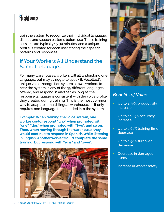## Highlump

train the system to recognize their individual language, dialect, and speech patterns before use. These training sessions are typically 15-30 minutes, and a unique profile is created for each user storing their speech patterns and responses.

#### **If Your Workers All Understand the Same Language…**

For many warehouses, workers will all understand one language, but may struggle to speak it. Vocollect's unique voice-recognition system allows workers to hear the system in any of the 35 different languages offered, and respond in another, as long as the response language is consistent with the voice profile they created during training. This is the most common way to adapt to a multi-lingual warehouse, as it only requires one language to be loaded into the system.

**Example: When training the voice system, one worker could respond "uno" when prompted with "one", "dos" when prompted with "two", and so on. Then, when moving through the warehouse, they would continue to respond in Spanish, while listening in English. Another worker would complete the same training, but respond with "eins" and "zwei".**





#### *Benefits of Voice*

- Up to a 35% productivity increase
- Up to an 85% accuracy increase
- Up to a 67% training time decrease
- Up to a 50% turnover decrease
- Decrease in damaged items
- Increase in worker safety